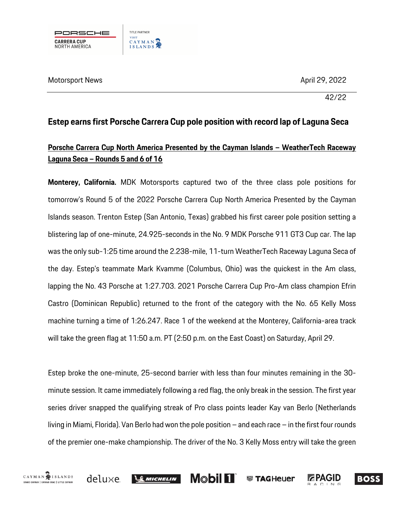

Motorsport News April 29, 2022 . April 29, 2022 . April 29, 2022

42/22

# **Estep earns first Porsche Carrera Cup pole position with record lap of Laguna Seca**

## **Porsche Carrera Cup North America Presented by the Cayman Islands – WeatherTech Raceway Laguna Seca – Rounds 5 and 6 of 16**

**Monterey, California.** MDK Motorsports captured two of the three class pole positions for tomorrow's Round 5 of the 2022 Porsche Carrera Cup North America Presented by the Cayman Islands season. Trenton Estep (San Antonio, Texas) grabbed his first career pole position setting a blistering lap of one-minute, 24.925-seconds in the No. 9 MDK Porsche 911 GT3 Cup car. The lap was the only sub-1:25 time around the 2.238-mile, 11-turn WeatherTech Raceway Laguna Seca of the day. Estep's teammate Mark Kvamme (Columbus, Ohio) was the quickest in the Am class, lapping the No. 43 Porsche at 1:27.703. 2021 Porsche Carrera Cup Pro-Am class champion Efrin Castro (Dominican Republic) returned to the front of the category with the No. 65 Kelly Moss machine turning a time of 1:26.247. Race 1 of the weekend at the Monterey, California-area track will take the green flag at 11:50 a.m. PT (2:50 p.m. on the East Coast) on Saturday, April 29.

Estep broke the one-minute, 25-second barrier with less than four minutes remaining in the 30 minute session. It came immediately following a red flag, the only break in the session. The first year series driver snapped the qualifying streak of Pro class points leader Kay van Berlo (Netherlands living in Miami, Florida). Van Berlo hadwon the pole position – and each race – in the first four rounds of the premier one-make championship. The driver of the No. 3 Kelly Moss entry will take the green





**Mobil 11**  $\mathcal{L}$  Michelin



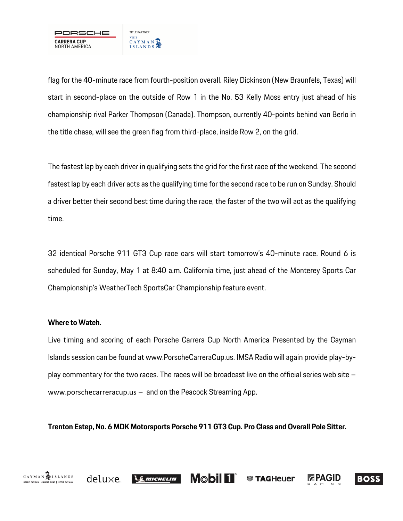

flag for the 40-minute race from fourth-position overall. Riley Dickinson (New Braunfels, Texas) will start in second-place on the outside of Row 1 in the No. 53 Kelly Moss entry just ahead of his championship rival Parker Thompson (Canada). Thompson, currently 40-points behind van Berlo in the title chase, will see the green flag from third-place, inside Row 2, on the grid.

The fastest lap by each driver in qualifying sets the grid for the first race of the weekend. The second fastest lap by each driver acts as the qualifying time for the second race to be run on Sunday. Should a driver better their second best time during the race, the faster of the two will act as the qualifying time.

32 identical Porsche 911 GT3 Cup race cars will start tomorrow's 40-minute race. Round 6 is scheduled for Sunday, May 1 at 8:40 a.m. California time, just ahead of the Monterey Sports Car Championship's WeatherTech SportsCar Championship feature event.

### **Where to Watch.**

CAYMAN SISLANDS

GRAND CAYMAN | CAYMAN BRAC | LITTLE CAYMAN

Live timing and scoring of each Porsche Carrera Cup North America Presented by the Cayman Islands session can be found at www.PorscheCarreraCup.us. IMSA Radio will again provide play-byplay commentary for the two races. The races will be broadcast live on the official series web site – www.porschecarreracup.us – and on the Peacock Streaming App.

**Trenton Estep, No. 6 MDK Motorsports Porsche 911 GT3 Cup. Pro Class and Overall Pole Sitter.**

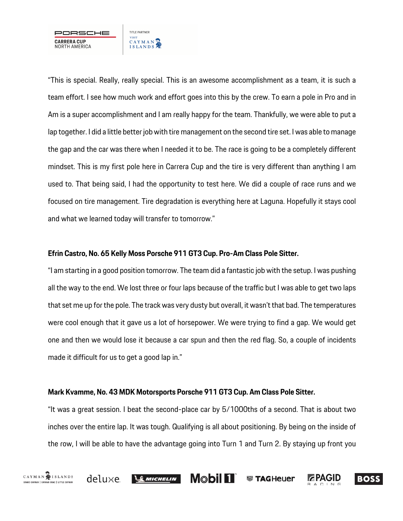TITLE PARTNER **VISIT CARRERA CUP** CAYMAN<sub>2</sub> NORTH AMERICA

"This is special. Really, really special. This is an awesome accomplishment as a team, it is such a team effort. I see how much work and effort goes into this by the crew. To earn a pole in Pro and in Am is a super accomplishment and I am really happy for the team. Thankfully, we were able to put a lap together. I did a little better job with tire management on the second tire set. I was able to manage the gap and the car was there when I needed it to be. The race is going to be a completely different mindset. This is my first pole here in Carrera Cup and the tire is very different than anything I am used to. That being said, I had the opportunity to test here. We did a couple of race runs and we focused on tire management. Tire degradation is everything here at Laguna. Hopefully it stays cool and what we learned today will transfer to tomorrow."

#### **Efrin Castro, No. 65 Kelly Moss Porsche 911 GT3 Cup. Pro-Am Class Pole Sitter.**

"I am starting in a good position tomorrow. The team did a fantastic job with the setup. I was pushing all the way to the end. We lost three or four laps because of the traffic but I was able to get two laps that set me up for the pole. The track was very dusty but overall, it wasn't that bad. The temperatures were cool enough that it gave us a lot of horsepower. We were trying to find a gap. We would get one and then we would lose it because a car spun and then the red flag. So, a couple of incidents made it difficult for us to get a good lap in."

#### **Mark Kvamme, No. 43 MDK Motorsports Porsche 911 GT3 Cup. Am Class Pole Sitter.**

"It was a great session. I beat the second-place car by 5/1000ths of a second. That is about two inches over the entire lap. It was tough. Qualifying is all about positioning. By being on the inside of the row, I will be able to have the advantage going into Turn 1 and Turn 2. By staying up front you

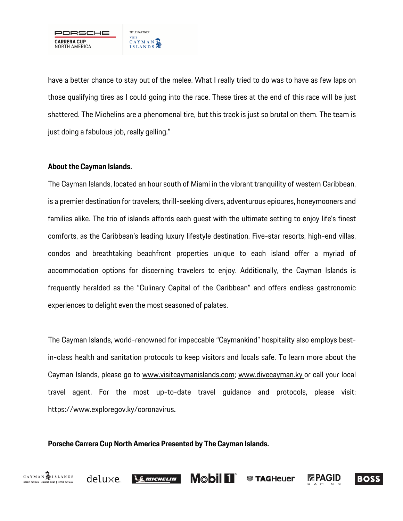

have a better chance to stay out of the melee. What I really tried to do was to have as few laps on those qualifying tires as I could going into the race. These tires at the end of this race will be just shattered. The Michelins are a phenomenal tire, but this track is just so brutal on them. The team is just doing a fabulous job, really gelling."

#### **About the Cayman Islands.**

The Cayman Islands, located an hour south of Miami in the vibrant tranquility of western Caribbean, is a premier destination for travelers, thrill-seeking divers, adventurous epicures, honeymooners and families alike. The trio of islands affords each guest with the ultimate setting to enjoy life's finest comforts, as the Caribbean's leading luxury lifestyle destination. Five-star resorts, high-end villas, condos and breathtaking beachfront properties unique to each island offer a myriad of accommodation options for discerning travelers to enjoy. Additionally, the Cayman Islands is frequently heralded as the "Culinary Capital of the Caribbean" and offers endless gastronomic experiences to delight even the most seasoned of palates.

The Cayman Islands, world-renowned for impeccable "Caymankind" hospitality also employs bestin-class health and sanitation protocols to keep visitors and locals safe. To learn more about the Cayman Islands, please go to www.visitcaymanislands.com; www.divecayman.ky or call your local travel agent. For the most up-to-date travel guidance and protocols, please visit: https://www.exploregov.ky/coronavirus**.**

**Porsche Carrera Cup North America Presented by The Cayman Islands.** 



deluxe



**Mobil 11 W** TAGHeuer